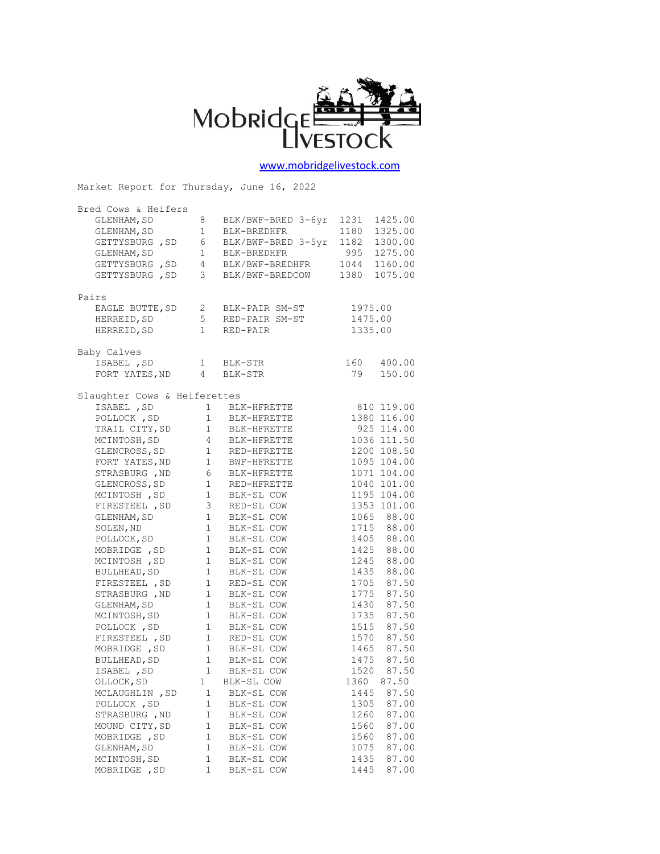

[www.mobridgelivestock.com](http://www.mobridgelivestock.com/)

Market Report for Thursday, June 16, 2022

| Bred Cows & Heifers                                                                  |                        |                              |                 |
|--------------------------------------------------------------------------------------|------------------------|------------------------------|-----------------|
| GLENHAM, SD                                                                          | 8                      | BLK/BWF-BRED 3-6yr           | 1231<br>1425.00 |
| GLENHAM, SD                                                                          | 1                      | BLK-BREDHFR                  | 1180<br>1325.00 |
| GETTYSBURG, SD                                                                       | 6                      | BLK/BWF-BRED 3-5yr           | 1182<br>1300.00 |
| GLENHAM, SD                                                                          | $\mathbf 1$            | BLK-BREDHFR                  | 995<br>1275.00  |
| GETTYSBURG, SD 4                                                                     |                        | BLK/BWF-BREDHFR              | 1044 1160.00    |
| GETTYSBURG, SD                                                                       | 3 <sup>7</sup>         | BLK/BWF-BREDCOW              | 1380 1075.00    |
|                                                                                      |                        |                              |                 |
| Pairs                                                                                |                        |                              |                 |
| EAGLE BUTTE, SD                                                                      | 2                      | BLK-PAIR SM-ST               | 1975.00         |
| HERREID, SD                                                                          | 5                      | RED-PAIR SM-ST               | 1475.00         |
| HERREID, SD                                                                          | $\mathbf{1}$           | RED-PAIR                     | 1335.00         |
|                                                                                      |                        |                              |                 |
| Baby Calves<br>ISABEL , SD                                                           |                        | $1$ BLK-STR                  | 160<br>400.00   |
| FORT YATES, ND 4 BLK-STR                                                             |                        |                              | 79<br>150.00    |
|                                                                                      |                        |                              |                 |
| Slaughter Cows & Heiferettes                                                         |                        |                              |                 |
| ISABEL , SD                                                                          |                        | 1 BLK-HFRETTE                | 810 119.00      |
| POLLOCK, SD 1 BLK-HFRETTE                                                            |                        |                              | 1380 116.00     |
|                                                                                      |                        |                              | 925 114.00      |
|                                                                                      |                        |                              | 1036 111.50     |
| GLENCROSS, SD 1 RED-HFRETTE                                                          |                        |                              | 1200 108.50     |
|                                                                                      |                        |                              | 1095 104.00     |
|                                                                                      |                        |                              | 1071 104.00     |
| GLENCROSS, SD                                                                        |                        | 1 RED-HFRETTE                | 1040 101.00     |
| MCINTOSH , SD                                                                        |                        | 1 BLK-SL COW                 | 1195 104.00     |
| FIRESTEEL , SD                                                                       | 3 <sup>7</sup>         | RED-SL COW                   | 1353 101.00     |
| GLENHAM, SD                                                                          | 1                      | BLK-SL COW                   | 1065 88.00      |
| SOLEN, ND                                                                            | 1                      | BLK-SL COW                   | 1715 88.00      |
| POLLOCK, SD                                                                          | 1                      | BLK-SL COW                   | 1405 88.00      |
| MOBRIDGE , SD<br>MCINTOCI                                                            | 1                      | BLK-SL COW                   | 1425 88.00      |
| MCINTOSH , SD                                                                        | $1 \quad$              | BLK-SL COW                   | 1245 88.00      |
| BULLHEAD, SD                                                                         | 1                      | BLK-SL COW                   | 1435 88.00      |
| FIRESTEEL , SD                                                                       | 1                      | RED-SL COW                   | 1705 87.50      |
| STRASBURG, ND                                                                        | $1 \quad \blacksquare$ | BLK-SL COW                   | 1775 87.50      |
| GLENHAM, SD                                                                          |                        |                              | 1430 87.50      |
| MCINTOSH, SD                                                                         |                        | 1 BLK-SL COW<br>1 BLK-SL COW | 1735 87.50      |
| POLLOCK, SD 1 BLK-SL COW                                                             |                        |                              | 1515 87.50      |
| FIRESTEEL, SD 1 RED-SL COW<br>MOBRIDGE, SD 1 BLK-SL COW<br>BULLHEAD, SD 1 BLK-SL COW |                        |                              | 1570 87.50      |
|                                                                                      |                        |                              | 1465 87.50      |
|                                                                                      |                        |                              | 1475 87.50      |
| ISABEL , SD                                                                          |                        | 1 BLK-SL COW                 | 1520 87.50      |
| OLLOCK, SD                                                                           | 1                      | BLK-SL COW                   | 1360<br>87.50   |
| MCLAUGHLIN, SD                                                                       | 1                      | BLK-SL COW                   | 87.50<br>1445   |
| POLLOCK, SD                                                                          | 1                      | BLK-SL COW                   | 1305<br>87.00   |
| STRASBURG , ND                                                                       | 1                      | BLK-SL COW                   | 1260<br>87.00   |
| MOUND CITY, SD                                                                       | $\mathbf 1$            | BLK-SL COW                   | 1560<br>87.00   |
| MOBRIDGE , SD                                                                        | 1                      | BLK-SL COW                   | 1560<br>87.00   |
| GLENHAM, SD                                                                          | 1                      | BLK-SL COW                   | 1075<br>87.00   |
| MCINTOSH, SD                                                                         | 1                      | BLK-SL COW                   | 1435<br>87.00   |
| MOBRIDGE , SD                                                                        | $\mathbf 1$            | BLK-SL COW                   | 1445<br>87.00   |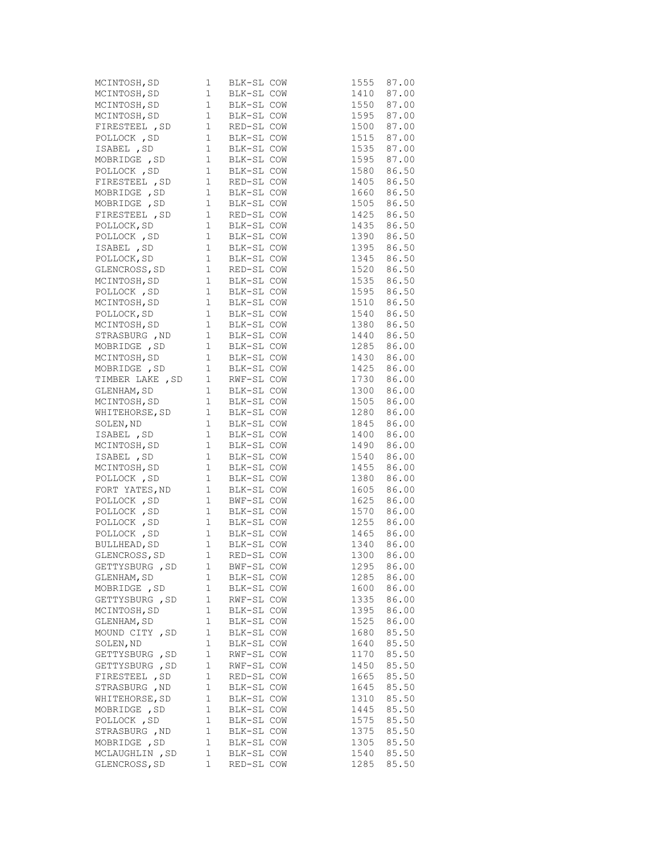| MCINTOSH, SD 1 BLK-SL COW<br>MCINTOSH, SD 1 BLK-SL COW<br>MCINTOSH, SD 1 BLK-SL COW<br>MCINTOSH, SD 1 BLK-SL COW<br>FIRESTEEL, SD 1 RED-SL COW<br>FOLLOCK, SD 1 BLK-SL COW<br>MOBRIDGE, SD 1 BLK-SL COW<br>POLLOCK, SD 1 BLK-SL COW<br>POLLOCK |             |            | 1555         | 87.00                    |
|------------------------------------------------------------------------------------------------------------------------------------------------------------------------------------------------------------------------------------------------|-------------|------------|--------------|--------------------------|
|                                                                                                                                                                                                                                                |             |            | 1410         | 87.00                    |
|                                                                                                                                                                                                                                                |             |            |              | 1550 87.00               |
|                                                                                                                                                                                                                                                |             |            |              |                          |
|                                                                                                                                                                                                                                                |             |            |              | 1595 87.00<br>1500 87.00 |
|                                                                                                                                                                                                                                                |             |            |              | 1515 87.00               |
|                                                                                                                                                                                                                                                |             |            |              | $1535$ 87.00             |
|                                                                                                                                                                                                                                                |             |            |              | 1595 87.00               |
|                                                                                                                                                                                                                                                |             |            |              | 1580 86.50               |
| FIRESTEEL, SD 1 RED-SL COW                                                                                                                                                                                                                     |             |            |              | 1405 86.50               |
|                                                                                                                                                                                                                                                |             |            |              | 1660 86.50               |
|                                                                                                                                                                                                                                                |             |            |              | 1505 86.50               |
| FIRESTEEL, SD 1 RED-SL COW                                                                                                                                                                                                                     |             |            |              | 1425 86.50               |
|                                                                                                                                                                                                                                                |             |            |              |                          |
| POLLOCK, SD<br>POLLOCK , SD<br>SD 1 BLK-SL COW<br>SABEL , SD 1 BLK-SL COW                                                                                                                                                                      |             |            |              | 1435 86.50<br>1390 86.50 |
|                                                                                                                                                                                                                                                |             |            |              | 1395 86.50               |
|                                                                                                                                                                                                                                                |             |            |              |                          |
| POLLOCK, SD 1 BLK-SL COW<br>CLENCROSS, SD 1 RED-SL COW<br>MCINTOSH, SD 1 BLK-SL COW<br>POLLOCK, SD 1 BLK-SL COW<br>MCINTOSH, SD 1 BLK-SL COW<br>MCINTOSH, SD 1 BLK-SL COW<br>MCINTOSH, SD 1 BLK-SL COW<br>MCINTOSH, SD 1 BLK-SL COW<br>MCINTOS |             |            |              | 1345 86.50<br>1520 86.50 |
|                                                                                                                                                                                                                                                |             |            |              | 1535 86.50               |
|                                                                                                                                                                                                                                                |             |            |              | 1595 86.50               |
|                                                                                                                                                                                                                                                |             |            |              | 1510 86.50               |
|                                                                                                                                                                                                                                                |             |            |              | 1540 86.50               |
|                                                                                                                                                                                                                                                |             |            |              | 1380 86.50               |
|                                                                                                                                                                                                                                                |             |            |              |                          |
| STRASBURG, ND 1 BLK-SL COW<br>MOBRIDGE, SD 1 BLK-SL COW<br>MCINTOSH, SD 1 BLK-SL COW                                                                                                                                                           |             |            |              | 1440 86.50<br>1285 86.00 |
|                                                                                                                                                                                                                                                |             |            |              | 1430 86.00               |
|                                                                                                                                                                                                                                                |             |            |              |                          |
|                                                                                                                                                                                                                                                |             |            |              | 1425 86.00<br>1730 86.00 |
| MOBRIDGE, SD 1 BLK-SL COW<br>TIMBER LAKE, SD 1 RWF-SL COW<br>GLENHAM, SD 1 BLK-SL COW                                                                                                                                                          |             |            |              | 1300 86.00               |
|                                                                                                                                                                                                                                                |             |            |              |                          |
| MCINTOSH, SD 1 BLK-SL COW                                                                                                                                                                                                                      |             |            |              | 1505 86.00<br>1280 86.00 |
|                                                                                                                                                                                                                                                |             |            |              | 1845 86.00               |
|                                                                                                                                                                                                                                                |             |            |              | 86.00                    |
|                                                                                                                                                                                                                                                |             |            | 1400         |                          |
| WHITEHORSE, SD 1 BLK-SL COW<br>SOLEN, ND 1 BLK-SL COW<br>ISABEL , SD 1 BLK-SL COW<br>MCINTOSH, SD 1 BLK-SL COW<br>ISABEL , SD 1 BLK-SL COW<br>MCINTOSH, SD 1 BLK-SL COW<br>MCINTOSH, SD 1 BLK-SL COW<br>MCINTOSH, SD 1 BLK-SL COW              |             |            |              | 1490 86.00<br>1540 86.00 |
|                                                                                                                                                                                                                                                |             |            |              | 1455 86.00               |
| MCINTOSH, SD 1 BLK-SL COW<br>FORT YATES, ND 1 BLK-SL COW<br>FORT YATES, ND 1 BLK-SL COW<br>POLLOCK , SD 1 BLK-SL COW<br>POLLOCK , SD 1 BLK-SL COW<br>POLLOCK , SD 1 BLK-SL COW<br>POLLOCK , SD 1 BLK-SL COW<br>BULLHEAD, SD 1 BLK-SL COW<br>GL |             |            |              | 86.00                    |
|                                                                                                                                                                                                                                                |             |            | 1380<br>1605 | 86.00                    |
|                                                                                                                                                                                                                                                |             |            |              | 1625 86.00               |
|                                                                                                                                                                                                                                                |             |            |              |                          |
|                                                                                                                                                                                                                                                |             |            |              | 1570 86.00<br>1255 86.00 |
|                                                                                                                                                                                                                                                |             |            |              | 1465 86.00               |
|                                                                                                                                                                                                                                                |             |            |              |                          |
|                                                                                                                                                                                                                                                |             |            |              | 1340 86.00               |
|                                                                                                                                                                                                                                                |             |            | 1300         | 86.00                    |
| GETTYSBURG , SD                                                                                                                                                                                                                                | 1           | BWF-SL COW | 1295         | 86.00                    |
| GLENHAM, SD                                                                                                                                                                                                                                    | 1           | BLK-SL COW | 1285         | 86.00                    |
| MOBRIDGE , SD                                                                                                                                                                                                                                  | 1           | BLK-SL COW | 1600         | 86.00                    |
| GETTYSBURG , SD                                                                                                                                                                                                                                | 1           | RWF-SL COW | 1335         | 86.00                    |
| MCINTOSH, SD                                                                                                                                                                                                                                   | 1           | BLK-SL COW | 1395         | 86.00                    |
| GLENHAM, SD                                                                                                                                                                                                                                    | 1           | BLK-SL COW | 1525         | 86.00                    |
| MOUND CITY, SD                                                                                                                                                                                                                                 | 1           | BLK-SL COW | 1680         | 85.50                    |
| SOLEN, ND                                                                                                                                                                                                                                      | $1\,$       | BLK-SL COW | 1640         | 85.50                    |
| GETTYSBURG, SD                                                                                                                                                                                                                                 | 1           | RWF-SL COW | 1170         | 85.50                    |
| GETTYSBURG , SD                                                                                                                                                                                                                                | 1           | RWF-SL COW | 1450         | 85.50                    |
| FIRESTEEL , SD                                                                                                                                                                                                                                 | 1           | RED-SL COW | 1665         | 85.50                    |
| STRASBURG , ND                                                                                                                                                                                                                                 | 1           | BLK-SL COW | 1645         | 85.50                    |
| WHITEHORSE, SD                                                                                                                                                                                                                                 | 1           | BLK-SL COW | 1310         | 85.50                    |
| MOBRIDGE , SD                                                                                                                                                                                                                                  | 1           | BLK-SL COW | 1445         | 85.50                    |
| POLLOCK, SD                                                                                                                                                                                                                                    | $\mathbf 1$ | BLK-SL COW | 1575         | 85.50                    |
| STRASBURG, ND                                                                                                                                                                                                                                  | 1           | BLK-SL COW | 1375         | 85.50                    |
| MOBRIDGE, SD                                                                                                                                                                                                                                   | 1           | BLK-SL COW | 1305         | 85.50                    |
| MCLAUGHLIN, SD                                                                                                                                                                                                                                 | 1           | BLK-SL COW | 1540         | 85.50                    |
| GLENCROSS, SD                                                                                                                                                                                                                                  | 1           | RED-SL COW | 1285         | 85.50                    |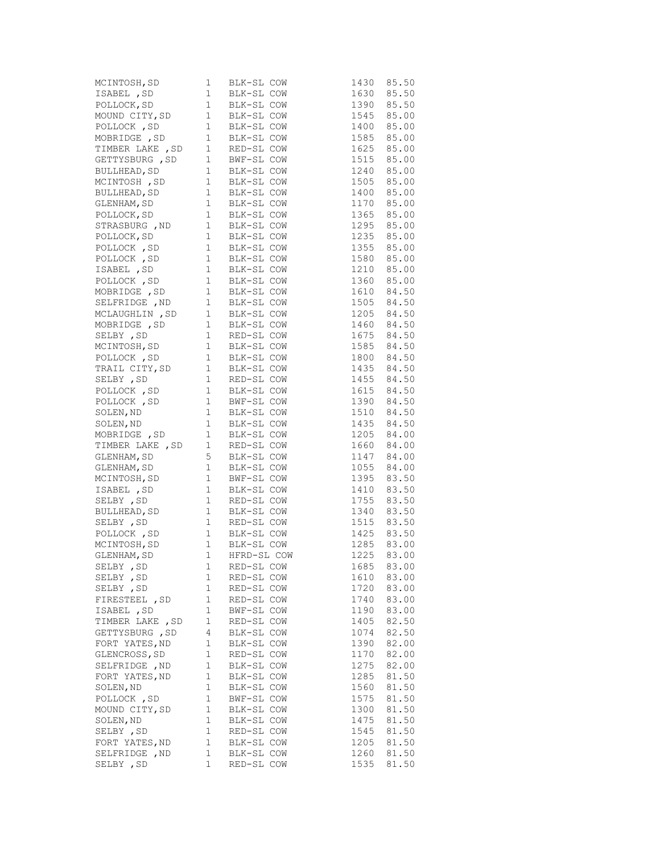| MCINTOSH, SD 1 BLK-SL COW<br>ISABEL, SD 1 BLK-SL COW<br>POLLOCK, SD 1 BLK-SL COW<br>MOUND CITY, SD 1 BLK-SL COW<br>POLLOCK, SD 1 BLK-SL COW<br>MOBRIDGE, SD 1 BLK-SL COW<br>MOBRIDGE, SD 1 BLK-SL COW<br>TIMBRIDGE, SD 1 BLK-SL COW            |              |            | 1430                     | 85.50 |
|------------------------------------------------------------------------------------------------------------------------------------------------------------------------------------------------------------------------------------------------|--------------|------------|--------------------------|-------|
|                                                                                                                                                                                                                                                |              |            | 1630 85.50               |       |
|                                                                                                                                                                                                                                                |              |            | 1390 85.50               |       |
|                                                                                                                                                                                                                                                |              |            |                          |       |
|                                                                                                                                                                                                                                                |              |            | 1545 85.00<br>1400 85.00 |       |
|                                                                                                                                                                                                                                                |              |            | 1585 85.00               |       |
| TIMBER LAKE , SD 1 RED-SL COW<br>GETTYSBURG , SD 1 BWF-SL COW<br>BULLHEAD, SD 1 BLK-SL COW                                                                                                                                                     |              |            | 1625 85.00               |       |
|                                                                                                                                                                                                                                                |              |            | 1515 85.00               |       |
|                                                                                                                                                                                                                                                |              |            | 1240 85.00               |       |
| MCINTOSH, SD 1 BLK-SL COW                                                                                                                                                                                                                      |              |            | 1505 85.00               |       |
|                                                                                                                                                                                                                                                |              |            | 1400 85.00               |       |
|                                                                                                                                                                                                                                                |              |            | 1170 85.00               |       |
| BULLHEAD, SD<br>CLENHAM, SD<br>CLENHAM, SD<br>1 BLK-SL COW<br>POLLOCK, SD<br>1 BLK-SL COW<br>POLLOCK, SD<br>1 BLK-SL COW<br>POLLOCK, SD<br>1 BLK-SL COW<br>POLLOCK, SD<br>1 BLK-SL COW                                                         |              |            | 1365 85.00               |       |
|                                                                                                                                                                                                                                                |              |            |                          |       |
|                                                                                                                                                                                                                                                |              |            | 1295 85.00<br>1235 85.00 |       |
| STRASBURG, ND 1 BLK-SL COW<br>POLLOCK, SD 1 BLK-SL COW<br>POLLOCK, SD 1 BLK-SL COW                                                                                                                                                             |              |            | 1355 85.00               |       |
|                                                                                                                                                                                                                                                |              |            | 1580 85.00               |       |
|                                                                                                                                                                                                                                                |              |            | 1210 85.00               |       |
|                                                                                                                                                                                                                                                |              |            | 1360 85.00               |       |
|                                                                                                                                                                                                                                                |              |            |                          |       |
|                                                                                                                                                                                                                                                |              |            | 1610 84.50               |       |
|                                                                                                                                                                                                                                                |              |            | 1505 84.50<br>1205 84.50 |       |
|                                                                                                                                                                                                                                                |              |            |                          |       |
|                                                                                                                                                                                                                                                |              |            | 1460 84.50               |       |
|                                                                                                                                                                                                                                                |              |            | 1675 84.50<br>1585 84.50 |       |
| POLLOCK , SD 1 BLK-SL COW<br>POLLOCK , SD 1 BLK-SL COW<br>ISABEL , SD 1 BLK-SL COW<br>POLLOCK , SD 1 BLK-SL COW<br>MOBRIDGE , SD 1 BLK-SL COW<br>SELFRIDGE , ND 1 BLK-SL COW<br>MCLAUGHLIN , SD 1 BLK-SL COW<br>MOBRIDGE , SD 1 BLK-SL COW<br> |              |            |                          |       |
|                                                                                                                                                                                                                                                |              |            | 1800 84.50               |       |
| TRAIL CITY, SD 1 BLK-SL COW<br>SELBY , SD 1 RED-SL COW<br>POLLOCK , SD 1 BLK-SL COW<br>POLLOCK , SD 1 BLK-SL COW<br>POLLOCK , SD 1 BWF-SL COW<br>SOLEN, ND 1 BLK-SL COW<br>SOLEN, ND 1 BLK-SL COW<br>SOLEN, ND 1 BLK-SL COW                    |              |            | 1435 84.50<br>1455 84.50 |       |
|                                                                                                                                                                                                                                                |              |            |                          |       |
|                                                                                                                                                                                                                                                |              |            | 1615 84.50               |       |
|                                                                                                                                                                                                                                                |              |            | 1390 84.50               |       |
|                                                                                                                                                                                                                                                |              |            | 1510 84.50               |       |
|                                                                                                                                                                                                                                                |              |            | 1435 84.50               |       |
| MOBRIDGE, SD 1 BLK-SL COW                                                                                                                                                                                                                      |              |            | 1205 84.00               |       |
| TIMBER LAKE , SD 1 RED-SL COW<br>GLENHAM, SD 5 BLK-SL COW                                                                                                                                                                                      |              |            | 1660 84.00<br>1147 84.00 |       |
|                                                                                                                                                                                                                                                |              |            |                          |       |
| GLENHAM, SD 1 BLK-SL COW                                                                                                                                                                                                                       |              |            | 1055 84.00               |       |
|                                                                                                                                                                                                                                                |              |            | 1395 83.50               |       |
|                                                                                                                                                                                                                                                |              |            | 1410 83.50               |       |
|                                                                                                                                                                                                                                                |              |            | 1755 83.50               |       |
|                                                                                                                                                                                                                                                |              |            | 1340 83.50               |       |
|                                                                                                                                                                                                                                                |              |            | 1515 83.50               |       |
|                                                                                                                                                                                                                                                |              |            | 1425 83.50               |       |
|                                                                                                                                                                                                                                                |              |            | 1285 83.00               |       |
| MCINTOSH, SD 1 BLK-SL COW<br>ISABEL, SD 1 BLK-SL COW<br>SELBY, SD 1 RED-SL COW<br>BULLHEAD, SD 1 RED-SL COW<br>SELBY, SD 1 RED-SL COW<br>SELBY, SD 1 RED-SL COW<br>POLLOCK, SD 1 BLK-SL COW<br>MCINTOSH, SD 1 BLK-SL COW<br>GLENHAM, SD 1 HFRD |              |            | 1225                     | 83.00 |
| SELBY , SD                                                                                                                                                                                                                                     | 1            | RED-SL COW | 1685                     | 83.00 |
| SELBY , SD                                                                                                                                                                                                                                     | 1            | RED-SL COW | 1610                     | 83.00 |
| SELBY , SD                                                                                                                                                                                                                                     | 1            | RED-SL COW | 1720                     | 83.00 |
| FIRESTEEL , SD                                                                                                                                                                                                                                 | $\mathbf{1}$ | RED-SL COW | 1740                     | 83.00 |
| ISABEL, SD                                                                                                                                                                                                                                     | 1            | BWF-SL COW | 1190                     | 83.00 |
| TIMBER LAKE, SD                                                                                                                                                                                                                                | 1            | RED-SL COW | 1405                     | 82.50 |
| GETTYSBURG, SD                                                                                                                                                                                                                                 | 4            | BLK-SL COW | 1074                     | 82.50 |
| FORT YATES, ND                                                                                                                                                                                                                                 | 1            | BLK-SL COW | 1390                     | 82.00 |
| GLENCROSS, SD                                                                                                                                                                                                                                  | $\mathbf{1}$ | RED-SL COW | 1170                     | 82.00 |
| SELFRIDGE , ND                                                                                                                                                                                                                                 | $\mathbf{1}$ | BLK-SL COW | 1275                     | 82.00 |
| FORT YATES, ND                                                                                                                                                                                                                                 | $\mathbf 1$  | BLK-SL COW | 1285                     | 81.50 |
| SOLEN, ND                                                                                                                                                                                                                                      | $\mathbf 1$  | BLK-SL COW | 1560                     | 81.50 |
| POLLOCK, SD                                                                                                                                                                                                                                    | $\mathbf{1}$ | BWF-SL COW | 1575                     | 81.50 |
| MOUND CITY, SD                                                                                                                                                                                                                                 | $\mathbf{1}$ | BLK-SL COW | 1300                     | 81.50 |
| SOLEN, ND                                                                                                                                                                                                                                      | $\mathbf 1$  | BLK-SL COW | 1475                     | 81.50 |
| SELBY, SD                                                                                                                                                                                                                                      | 1            | RED-SL COW | 1545                     | 81.50 |
| FORT YATES, ND                                                                                                                                                                                                                                 | $\mathbf 1$  | BLK-SL COW | 1205                     | 81.50 |
| SELFRIDGE , ND                                                                                                                                                                                                                                 | 1            | BLK-SL COW | 1260                     | 81.50 |
| SELBY , SD                                                                                                                                                                                                                                     | $\mathbf 1$  | RED-SL COW | 1535                     | 81.50 |
|                                                                                                                                                                                                                                                |              |            |                          |       |